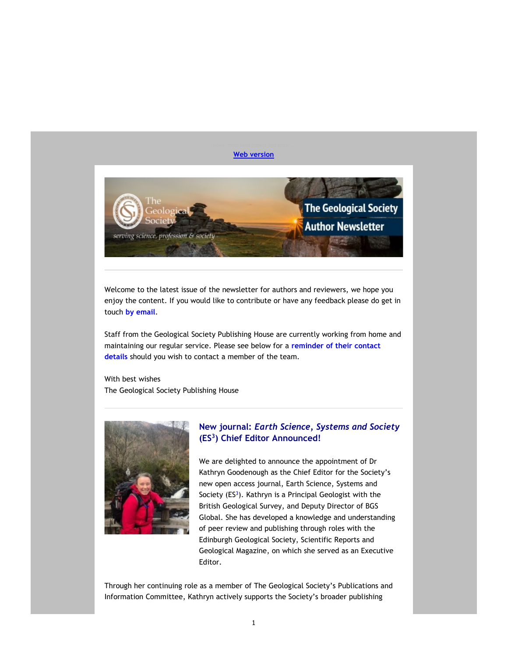#### Web version



Welcome to the latest issue of the newsletter for authors and reviewers, we hope you enjoy the content. If you would like to contribute or have any feedback please do get in touch by email.

Staff from the Geological Society Publishing House are currently working from home and maintaining our regular service. Please see below for a reminder of their contact details should you wish to contact a member of the team.

With best wishes The Geological Society Publishing House



## New journal: Earth Science, Systems and Society (ES<sup>3</sup>) Chief Editor Announced!

We are delighted to announce the appointment of Dr Kathryn Goodenough as the Chief Editor for the Society's new open access journal, Earth Science, Systems and Society  $(ES^3)$ . Kathryn is a Principal Geologist with the British Geological Survey, and Deputy Director of BGS Global. She has developed a knowledge and understanding of peer review and publishing through roles with the Edinburgh Geological Society, Scientific Reports and Geological Magazine, on which she served as an Executive Editor.

Through her continuing role as a member of The Geological Society's Publications and Information Committee, Kathryn actively supports the Society's broader publishing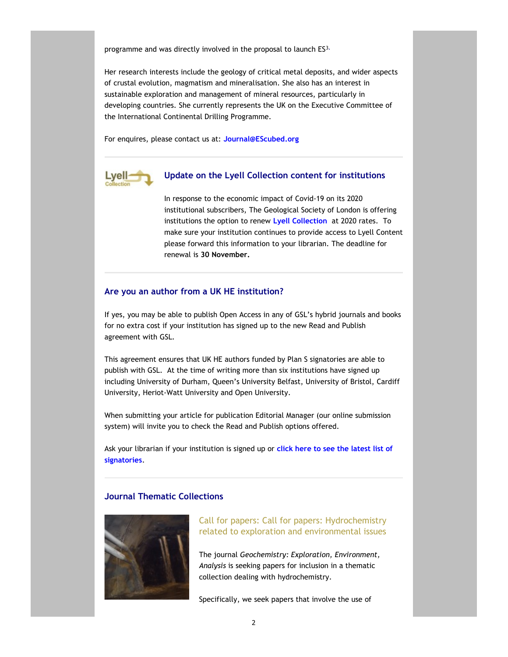programme and was directly involved in the proposal to launch ES3.

Her research interests include the geology of critical metal deposits, and wider aspects of crustal evolution, magmatism and mineralisation. She also has an interest in sustainable exploration and management of mineral resources, particularly in developing countries. She currently represents the UK on the Executive Committee of the International Continental Drilling Programme.

For enquires, please contact us at: Journal@EScubed.org



## Update on the Lyell Collection content for institutions

In response to the economic impact of Covid-19 on its 2020 institutional subscribers, The Geological Society of London is offering institutions the option to renew Lyell Collection at 2020 rates. To make sure your institution continues to provide access to Lyell Content please forward this information to your librarian. The deadline for renewal is 30 November.

## Are you an author from a UK HE institution?

If yes, you may be able to publish Open Access in any of GSL's hybrid journals and books for no extra cost if your institution has signed up to the new Read and Publish agreement with GSL.

This agreement ensures that UK HE authors funded by Plan S signatories are able to publish with GSL. At the time of writing more than six institutions have signed up including University of Durham, Queen's University Belfast, University of Bristol, Cardiff University, Heriot-Watt University and Open University.

When submitting your article for publication Editorial Manager (our online submission system) will invite you to check the Read and Publish options offered.

Ask your librarian if your institution is signed up or click here to see the latest list of signatories.

## Journal Thematic Collections



 Call for papers: Call for papers: Hydrochemistry related to exploration and environmental issues

The journal Geochemistry: Exploration, Environment, Analysis is seeking papers for inclusion in a thematic collection dealing with hydrochemistry.

Specifically, we seek papers that involve the use of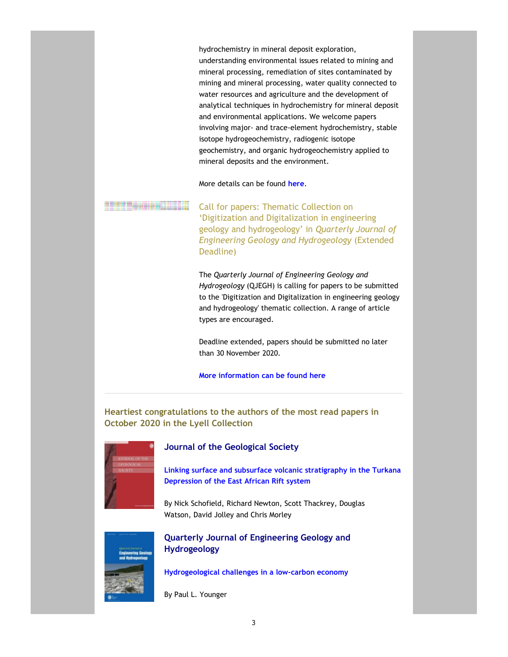hydrochemistry in mineral deposit exploration, understanding environmental issues related to mining and mineral processing, remediation of sites contaminated by mining and mineral processing, water quality connected to water resources and agriculture and the development of analytical techniques in hydrochemistry for mineral deposit and environmental applications. We welcome papers involving major- and trace-element hydrochemistry, stable isotope hydrogeochemistry, radiogenic isotope geochemistry, and organic hydrogeochemistry applied to mineral deposits and the environment.

More details can be found here.

 Call for papers: Thematic Collection on 'Digitization and Digitalization in engineering geology and hydrogeology' in Quarterly Journal of Engineering Geology and Hydrogeology (Extended Deadline)

The Quarterly Journal of Engineering Geology and Hydrogeology (QJEGH) is calling for papers to be submitted to the 'Digitization and Digitalization in engineering geology and hydrogeology' thematic collection. A range of article types are encouraged.

Deadline extended, papers should be submitted no later than 30 November 2020.

## More information can be found here

Heartiest congratulations to the authors of the most read papers in October 2020 in the Lyell Collection



#### Journal of the Geological Society

Linking surface and subsurface volcanic stratigraphy in the Turkana Depression of the East African Rift system

By Nick Schofield, Richard Newton, Scott Thackrey, Douglas Watson, David Jolley and Chris Morley



 Quarterly Journal of Engineering Geology and Hydrogeology

Hydrogeological challenges in a low-carbon economy

By Paul L. Younger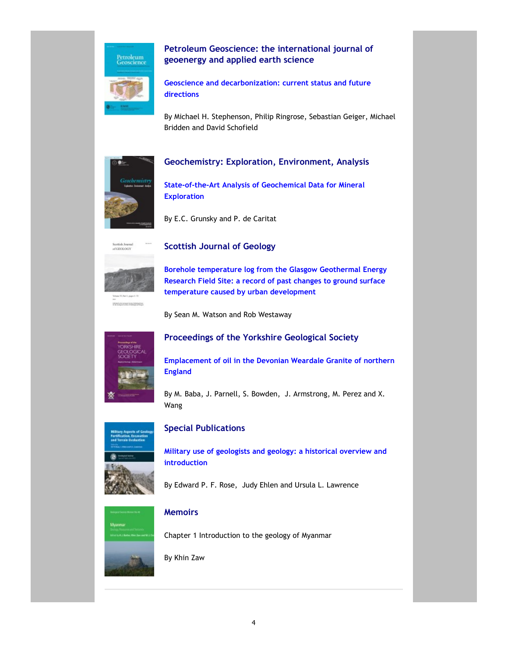

# Petroleum Geoscience: the international journal of geoenergy and applied earth science

Geoscience and decarbonization: current status and future directions

By Michael H. Stephenson, Philip Ringrose, Sebastian Geiger, Michael Bridden and David Schofield



# Geochemistry: Exploration, Environment, Analysis

State-of-the-Art Analysis of Geochemical Data for Mineral Exploration

By E.C. Grunsky and P. de Caritat



**NEWSLET BY FORMAL SUITE PURSUISHING** 

Scottish Journal of Geology

Borehole temperature log from the Glasgow Geothermal Energy Research Field Site: a record of past changes to ground surface temperature caused by urban development

By Sean M. Watson and Rob Westaway



# Proceedings of the Yorkshire Geological Society

Emplacement of oil in the Devonian Weardale Granite of northern England

By M. Baba, J. Parnell, S. Bowden, J. Armstrong, M. Perez and X. Wang



## Special Publications

Military use of geologists and geology: a historical overview and introduction

By Edward P. F. Rose, Judy Ehlen and Ursula L. Lawrence



# **Memoirs**

Chapter 1 Introduction to the geology of Myanmar

By Khin Zaw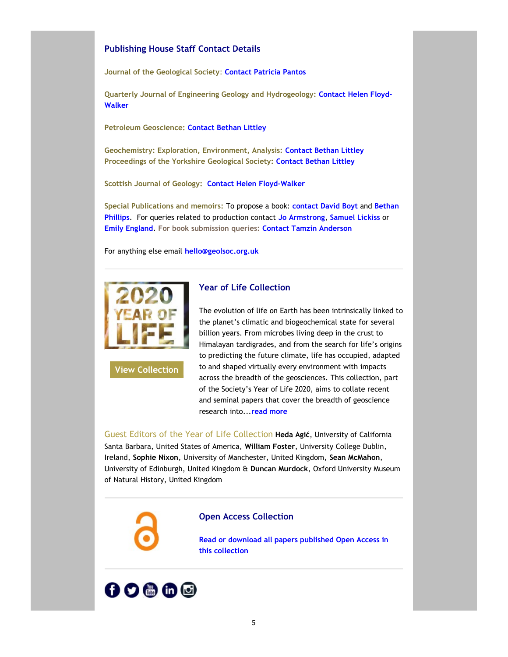## Publishing House Staff Contact Details

Journal of the Geological Society: Contact Patricia Pantos

Quarterly Journal of Engineering Geology and Hydrogeology: Contact Helen Floyd-Walker

Petroleum Geoscience: Contact Bethan Littley

Geochemistry: Exploration, Environment, Analysis: Contact Bethan Littley Proceedings of the Yorkshire Geological Society: Contact Bethan Littley

Scottish Journal of Geology: Contact Helen Floyd-Walker

Special Publications and memoirs: To propose a book: contact David Boyt and Bethan Phillips. For queries related to production contact Jo Armstrong, Samuel Lickiss or Emily England. For book submission queries: Contact Tamzin Anderson

For anything else email hello@geolsoc.org.uk



View Collection

## Year of Life Collection

The evolution of life on Earth has been intrinsically linked to the planet's climatic and biogeochemical state for several billion years. From microbes living deep in the crust to Himalayan tardigrades, and from the search for life's origins to predicting the future climate, life has occupied, adapted to and shaped virtually every environment with impacts across the breadth of the geosciences. This collection, part of the Society's Year of Life 2020, aims to collate recent and seminal papers that cover the breadth of geoscience research into... read more

Guest Editors of the Year of Life Collection Heda Agić, University of California Santa Barbara, United States of America, William Foster, University College Dublin, Ireland, Sophie Nixon, University of Manchester, United Kingdom, Sean McMahon, University of Edinburgh, United Kingdom & Duncan Murdock, Oxford University Museum of Natural History, United Kingdom

#### Open Access Collection

Read or download all papers published Open Access in this collection